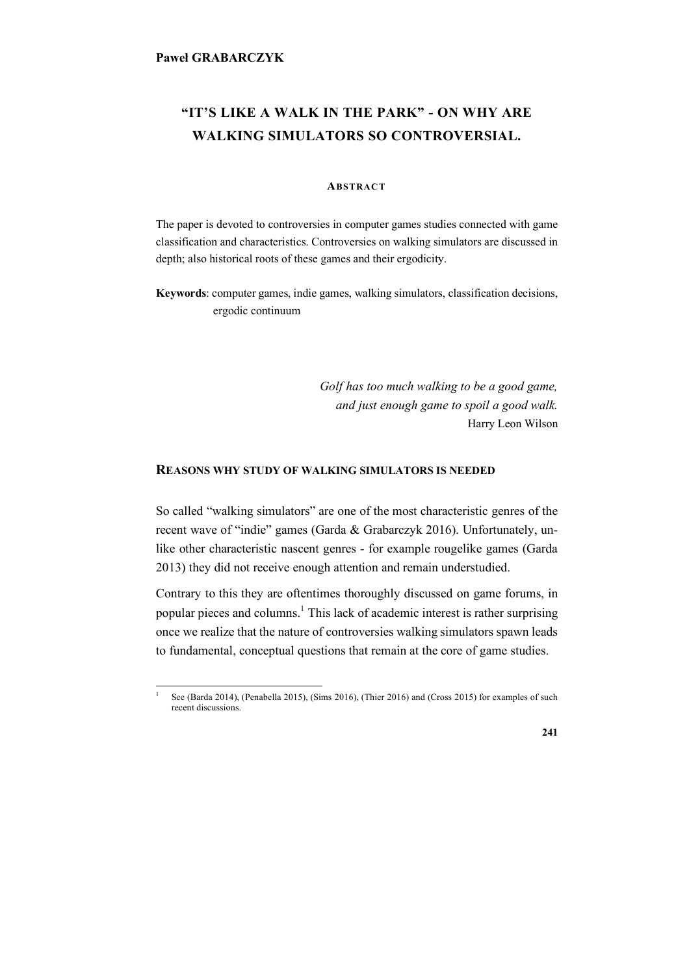# **"IT'S LIKE A WALK IN THE PARK" - ON WHY ARE WALKING SIMULATORS SO CONTROVERSIAL.**

# **ABSTRACT**

The paper is devoted to controversies in computer games studies connected with game classification and characteristics. Controversies on walking simulators are discussed in depth; also historical roots of these games and their ergodicity.

**Keywords**: computer games, indie games, walking simulators, classification decisions, ergodic continuum

> *Golf has too much walking to be a good game, and just enough game to spoil a good walk.* Harry Leon Wilson

## **REASONS WHY STUDY OF WALKING SIMULATORS IS NEEDED**

So called "walking simulators" are one of the most characteristic genres of the recent wave of "indie" games (Garda & Grabarczyk 2016). Unfortunately, unlike other characteristic nascent genres - for example rougelike games (Garda 2013) they did not receive enough attention and remain understudied.

Contrary to this they are oftentimes thoroughly discussed on game forums, in popular pieces and columns.<sup>1</sup> This lack of academic interest is rather surprising once we realize that the nature of controversies walking simulators spawn leads to fundamental, conceptual questions that remain at the core of game studies.

See (Barda 2014), (Penabella 2015), (Sims 2016), (Thier 2016) and (Cross 2015) for examples of such recent discussions.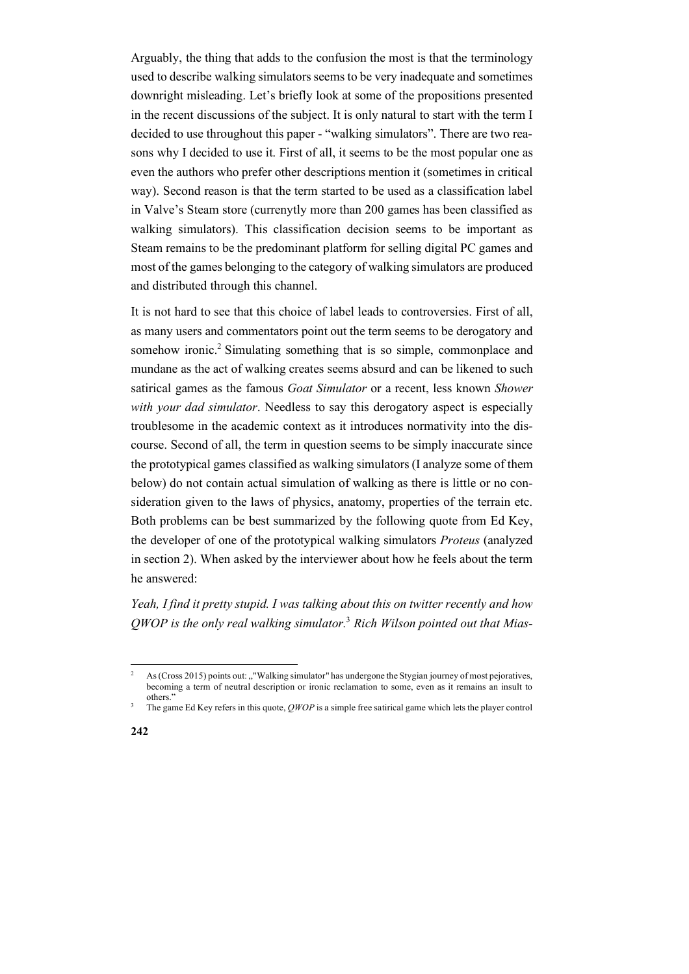Arguably, the thing that adds to the confusion the most is that the terminology used to describe walking simulators seems to be very inadequate and sometimes downright misleading. Let's briefly look at some of the propositions presented in the recent discussions of the subject. It is only natural to start with the term I decided to use throughout this paper - "walking simulators". There are two reasons why I decided to use it. First of all, it seems to be the most popular one as even the authors who prefer other descriptions mention it (sometimes in critical way). Second reason is that the term started to be used as a classification label in Valve's Steam store (currenytly more than 200 games has been classified as walking simulators). This classification decision seems to be important as Steam remains to be the predominant platform for selling digital PC games and most of the games belonging to the category of walking simulators are produced and distributed through this channel.

It is not hard to see that this choice of label leads to controversies. First of all, as many users and commentators point out the term seems to be derogatory and somehow ironic.<sup>2</sup> Simulating something that is so simple, commonplace and mundane as the act of walking creates seems absurd and can be likened to such satirical games as the famous *Goat Simulator* or a recent, less known *Shower with your dad simulator*. Needless to say this derogatory aspect is especially troublesome in the academic context as it introduces normativity into the discourse. Second of all, the term in question seems to be simply inaccurate since the prototypical games classified as walking simulators (I analyze some of them below) do not contain actual simulation of walking as there is little or no consideration given to the laws of physics, anatomy, properties of the terrain etc. Both problems can be best summarized by the following quote from Ed Key, the developer of one of the prototypical walking simulators *Proteus* (analyzed in section 2). When asked by the interviewer about how he feels about the term he answered:

*Yeah, I find it pretty stupid. I was talking about this on twitter recently and how QWOP is the only real walking simulator.*<sup>3</sup> *Rich Wilson pointed out that Mias-*

<sup>&</sup>lt;sup>2</sup> As (Cross 2015) points out: "Walking simulator" has undergone the Stygian journey of most pejoratives, becoming a term of neutral description or ironic reclamation to some, even as it remains an insult to others."

<sup>3</sup> The game Ed Key refers in this quote, *QWOP* is a simple free satirical game which lets the player control

**<sup>242</sup>**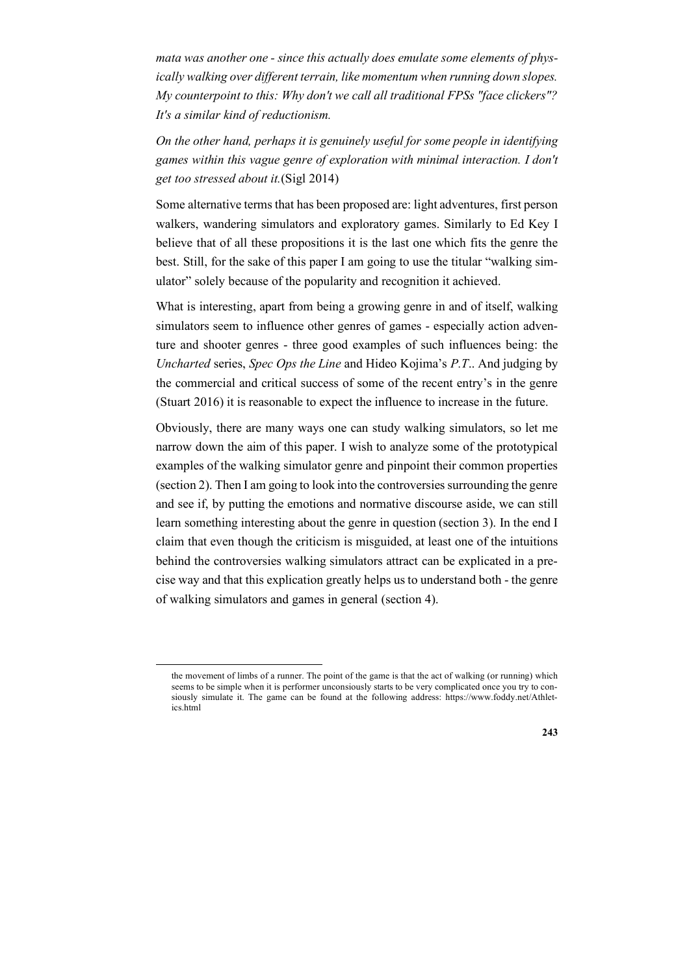*mata was another one - since this actually does emulate some elements of physically walking over different terrain, like momentum when running down slopes. My counterpoint to this: Why don't we call all traditional FPSs "face clickers"? It's a similar kind of reductionism.* 

*On the other hand, perhaps it is genuinely useful for some people in identifying games within this vague genre of exploration with minimal interaction. I don't get too stressed about it.*(Sigl 2014)

Some alternative terms that has been proposed are: light adventures, first person walkers, wandering simulators and exploratory games. Similarly to Ed Key I believe that of all these propositions it is the last one which fits the genre the best. Still, for the sake of this paper I am going to use the titular "walking simulator" solely because of the popularity and recognition it achieved.

What is interesting, apart from being a growing genre in and of itself, walking simulators seem to influence other genres of games - especially action adventure and shooter genres - three good examples of such influences being: the *Uncharted* series, *Spec Ops the Line* and Hideo Kojima's *P.T*.. And judging by the commercial and critical success of some of the recent entry's in the genre (Stuart 2016) it is reasonable to expect the influence to increase in the future.

Obviously, there are many ways one can study walking simulators, so let me narrow down the aim of this paper. I wish to analyze some of the prototypical examples of the walking simulator genre and pinpoint their common properties (section 2). Then I am going to look into the controversies surrounding the genre and see if, by putting the emotions and normative discourse aside, we can still learn something interesting about the genre in question (section 3). In the end I claim that even though the criticism is misguided, at least one of the intuitions behind the controversies walking simulators attract can be explicated in a precise way and that this explication greatly helps us to understand both - the genre of walking simulators and games in general (section 4).

the movement of limbs of a runner. The point of the game is that the act of walking (or running) which seems to be simple when it is performer unconsiously starts to be very complicated once you try to consiously simulate it. The game can be found at the following address: https://www.foddy.net/Athletics.html

**<sup>243</sup>**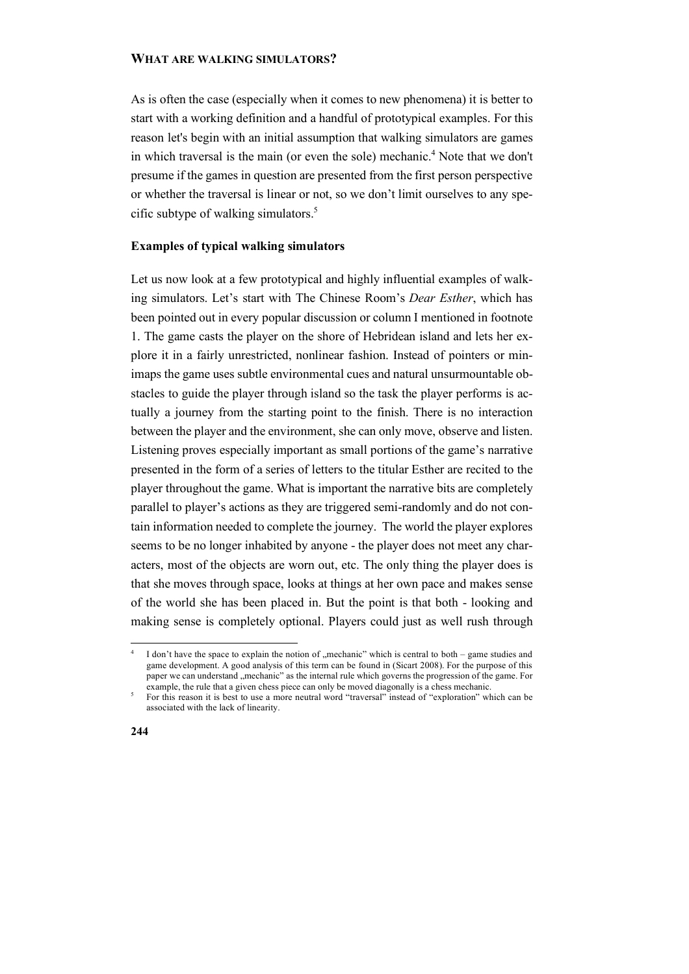# **WHAT ARE WALKING SIMULATORS?**

As is often the case (especially when it comes to new phenomena) it is better to start with a working definition and a handful of prototypical examples. For this reason let's begin with an initial assumption that walking simulators are games in which traversal is the main (or even the sole) mechanic.<sup>4</sup> Note that we don't presume if the games in question are presented from the first person perspective or whether the traversal is linear or not, so we don't limit ourselves to any specific subtype of walking simulators.5

# **Examples of typical walking simulators**

Let us now look at a few prototypical and highly influential examples of walking simulators. Let's start with The Chinese Room's *Dear Esther*, which has been pointed out in every popular discussion or column I mentioned in footnote 1. The game casts the player on the shore of Hebridean island and lets her explore it in a fairly unrestricted, nonlinear fashion. Instead of pointers or minimaps the game uses subtle environmental cues and natural unsurmountable obstacles to guide the player through island so the task the player performs is actually a journey from the starting point to the finish. There is no interaction between the player and the environment, she can only move, observe and listen. Listening proves especially important as small portions of the game's narrative presented in the form of a series of letters to the titular Esther are recited to the player throughout the game. What is important the narrative bits are completely parallel to player's actions as they are triggered semi-randomly and do not contain information needed to complete the journey. The world the player explores seems to be no longer inhabited by anyone - the player does not meet any characters, most of the objects are worn out, etc. The only thing the player does is that she moves through space, looks at things at her own pace and makes sense of the world she has been placed in. But the point is that both - looking and making sense is completely optional. Players could just as well rush through

example, the rule that a given chess piece can only be moved diagonally is a chess mechanic.<br>For this reason it is best to use a more neutral word "traversal" instead of "exploration" which can be associated with the lack of linearity.



I don't have the space to explain the notion of "mechanic" which is central to both – game studies and game development. A good analysis of this term can be found in (Sicart 2008). For the purpose of this paper we can understand "mechanic" as the internal rule which governs the progression of the game. For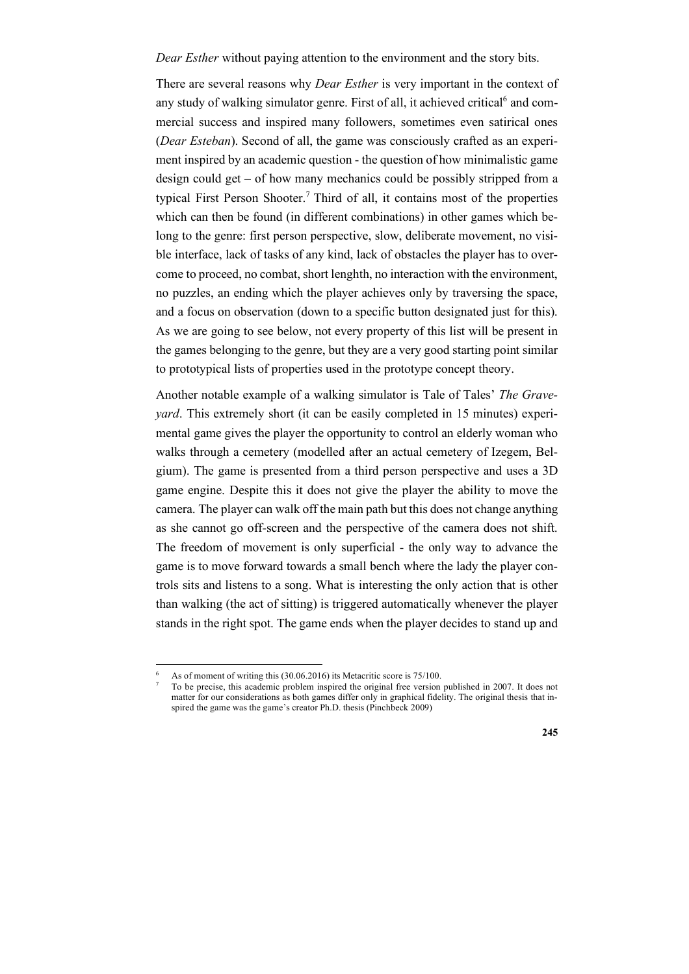*Dear Esther* without paying attention to the environment and the story bits.

There are several reasons why *Dear Esther* is very important in the context of any study of walking simulator genre. First of all, it achieved critical<sup>6</sup> and commercial success and inspired many followers, sometimes even satirical ones (*Dear Esteban*). Second of all, the game was consciously crafted as an experiment inspired by an academic question - the question of how minimalistic game design could get – of how many mechanics could be possibly stripped from a typical First Person Shooter.<sup>7</sup> Third of all, it contains most of the properties which can then be found (in different combinations) in other games which belong to the genre: first person perspective, slow, deliberate movement, no visible interface, lack of tasks of any kind, lack of obstacles the player has to overcome to proceed, no combat, short lenghth, no interaction with the environment, no puzzles, an ending which the player achieves only by traversing the space, and a focus on observation (down to a specific button designated just for this). As we are going to see below, not every property of this list will be present in the games belonging to the genre, but they are a very good starting point similar to prototypical lists of properties used in the prototype concept theory.

Another notable example of a walking simulator is Tale of Tales' *The Graveyard*. This extremely short (it can be easily completed in 15 minutes) experimental game gives the player the opportunity to control an elderly woman who walks through a cemetery (modelled after an actual cemetery of Izegem, Belgium). The game is presented from a third person perspective and uses a 3D game engine. Despite this it does not give the player the ability to move the camera. The player can walk off the main path but this does not change anything as she cannot go off-screen and the perspective of the camera does not shift. The freedom of movement is only superficial - the only way to advance the game is to move forward towards a small bench where the lady the player controls sits and listens to a song. What is interesting the only action that is other than walking (the act of sitting) is triggered automatically whenever the player stands in the right spot. The game ends when the player decides to stand up and

As of moment of writing this (30.06.2016) its Metacritic score is 75/100.

<sup>7</sup> To be precise, this academic problem inspired the original free version published in 2007. It does not matter for our considerations as both games differ only in graphical fidelity. The original thesis that inspired the game was the game's creator Ph.D. thesis (Pinchbeck 2009)

**<sup>245</sup>**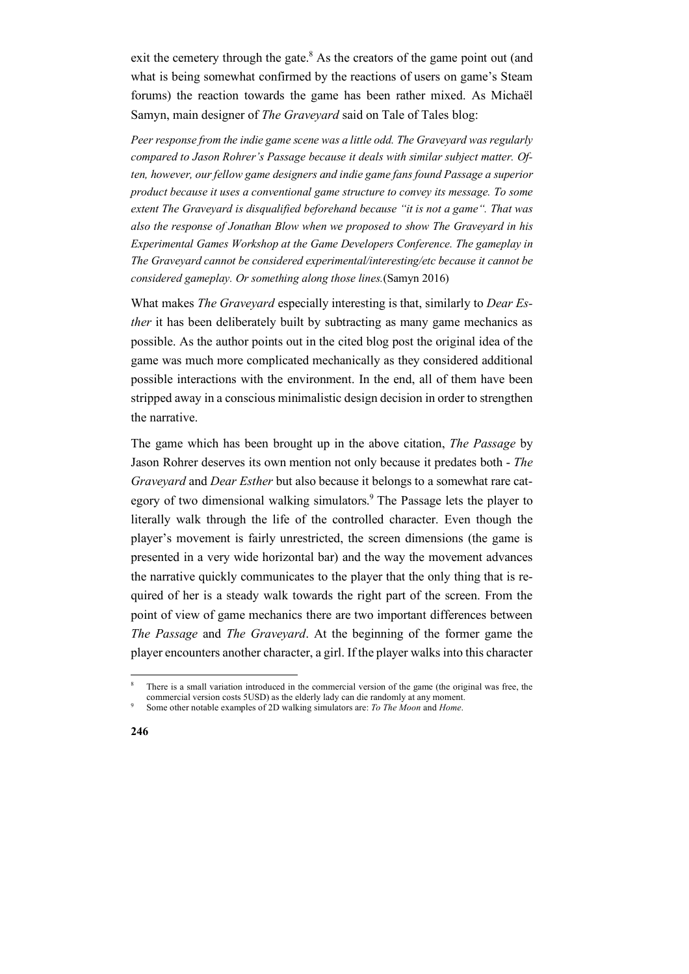exit the cemetery through the gate. $8$  As the creators of the game point out (and what is being somewhat confirmed by the reactions of users on game's Steam forums) the reaction towards the game has been rather mixed. As Michaël Samyn, main designer of *The Graveyard* said on Tale of Tales blog:

*Peer response from the indie game scene was a little odd. The Graveyard was regularly compared to Jason Rohrer's Passage because it deals with similar subject matter. Often, however, our fellow game designers and indie game fans found Passage a superior product because it uses a conventional game structure to convey its message. To some extent The Graveyard is disqualified beforehand because "it is not a game". That was also the response of Jonathan Blow when we proposed to show The Graveyard in his Experimental Games Workshop at the Game Developers Conference. The gameplay in The Graveyard cannot be considered experimental/interesting/etc because it cannot be considered gameplay. Or something along those lines.*(Samyn 2016)

What makes *The Graveyard* especially interesting is that, similarly to *Dear Esther* it has been deliberately built by subtracting as many game mechanics as possible. As the author points out in the cited blog post the original idea of the game was much more complicated mechanically as they considered additional possible interactions with the environment. In the end, all of them have been stripped away in a conscious minimalistic design decision in order to strengthen the narrative.

The game which has been brought up in the above citation, *The Passage* by Jason Rohrer deserves its own mention not only because it predates both - *The Graveyard* and *Dear Esther* but also because it belongs to a somewhat rare category of two dimensional walking simulators.<sup>9</sup> The Passage lets the player to literally walk through the life of the controlled character. Even though the player's movement is fairly unrestricted, the screen dimensions (the game is presented in a very wide horizontal bar) and the way the movement advances the narrative quickly communicates to the player that the only thing that is required of her is a steady walk towards the right part of the screen. From the point of view of game mechanics there are two important differences between *The Passage* and *The Graveyard*. At the beginning of the former game the player encounters another character, a girl. If the player walks into this character

There is a small variation introduced in the commercial version of the game (the original was free, the commercial version costs 5USD) as the elderly lady can die randomly at any moment.<br>Some other notable examples of 2D walking simulators are: *To The Moon* and *Home*.

**<sup>246</sup>**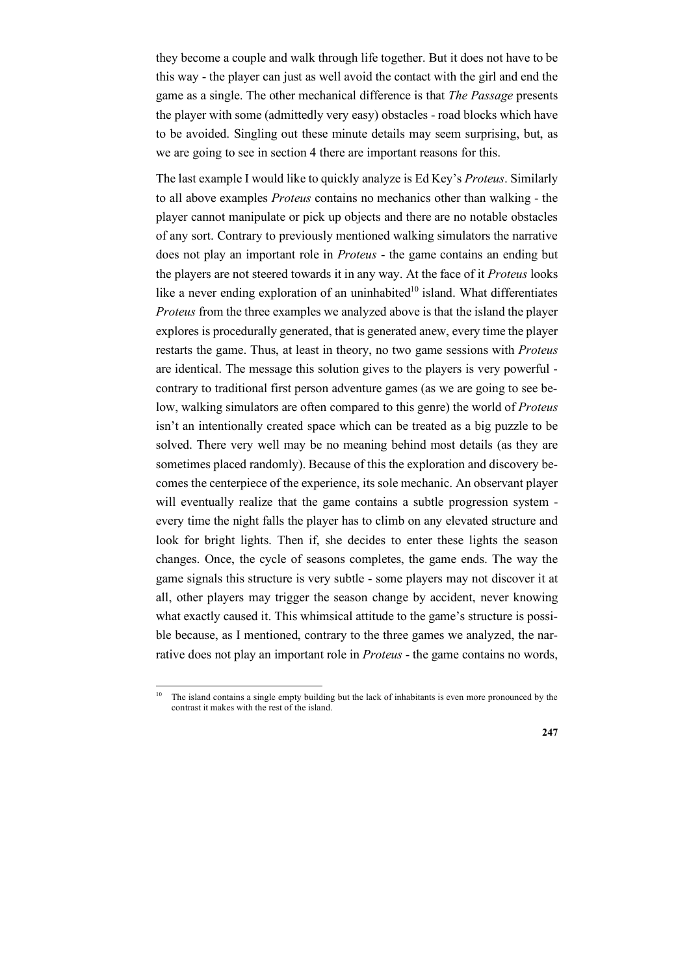they become a couple and walk through life together. But it does not have to be this way - the player can just as well avoid the contact with the girl and end the game as a single. The other mechanical difference is that *The Passage* presents the player with some (admittedly very easy) obstacles - road blocks which have to be avoided. Singling out these minute details may seem surprising, but, as we are going to see in section 4 there are important reasons for this.

The last example I would like to quickly analyze is Ed Key's *Proteus*. Similarly to all above examples *Proteus* contains no mechanics other than walking - the player cannot manipulate or pick up objects and there are no notable obstacles of any sort. Contrary to previously mentioned walking simulators the narrative does not play an important role in *Proteus* - the game contains an ending but the players are not steered towards it in any way. At the face of it *Proteus* looks like a never ending exploration of an uninhabited $10$  island. What differentiates *Proteus* from the three examples we analyzed above is that the island the player explores is procedurally generated, that is generated anew, every time the player restarts the game. Thus, at least in theory, no two game sessions with *Proteus* are identical. The message this solution gives to the players is very powerful contrary to traditional first person adventure games (as we are going to see below, walking simulators are often compared to this genre) the world of *Proteus* isn't an intentionally created space which can be treated as a big puzzle to be solved. There very well may be no meaning behind most details (as they are sometimes placed randomly). Because of this the exploration and discovery becomes the centerpiece of the experience, its sole mechanic. An observant player will eventually realize that the game contains a subtle progression system every time the night falls the player has to climb on any elevated structure and look for bright lights. Then if, she decides to enter these lights the season changes. Once, the cycle of seasons completes, the game ends. The way the game signals this structure is very subtle - some players may not discover it at all, other players may trigger the season change by accident, never knowing what exactly caused it. This whimsical attitude to the game's structure is possible because, as I mentioned, contrary to the three games we analyzed, the narrative does not play an important role in *Proteus* - the game contains no words,

The island contains a single empty building but the lack of inhabitants is even more pronounced by the contrast it makes with the rest of the island.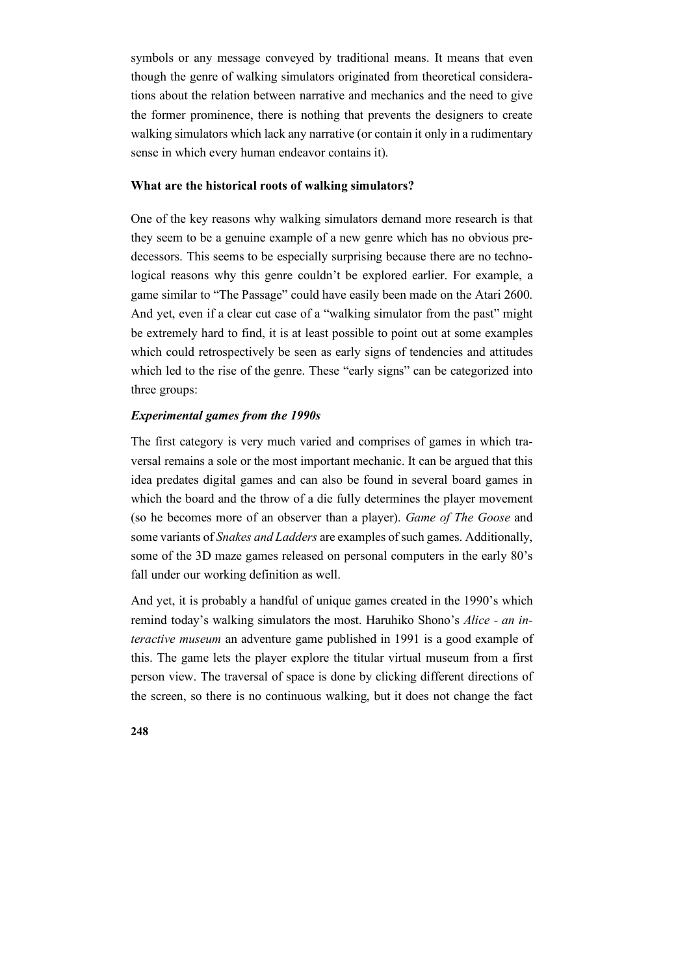symbols or any message conveyed by traditional means. It means that even though the genre of walking simulators originated from theoretical considerations about the relation between narrative and mechanics and the need to give the former prominence, there is nothing that prevents the designers to create walking simulators which lack any narrative (or contain it only in a rudimentary sense in which every human endeavor contains it).

# **What are the historical roots of walking simulators?**

One of the key reasons why walking simulators demand more research is that they seem to be a genuine example of a new genre which has no obvious predecessors. This seems to be especially surprising because there are no technological reasons why this genre couldn't be explored earlier. For example, a game similar to "The Passage" could have easily been made on the Atari 2600. And yet, even if a clear cut case of a "walking simulator from the past" might be extremely hard to find, it is at least possible to point out at some examples which could retrospectively be seen as early signs of tendencies and attitudes which led to the rise of the genre. These "early signs" can be categorized into three groups:

## *Experimental games from the 1990s*

The first category is very much varied and comprises of games in which traversal remains a sole or the most important mechanic. It can be argued that this idea predates digital games and can also be found in several board games in which the board and the throw of a die fully determines the player movement (so he becomes more of an observer than a player). *Game of The Goose* and some variants of *Snakes and Ladders* are examples of such games. Additionally, some of the 3D maze games released on personal computers in the early 80's fall under our working definition as well.

And yet, it is probably a handful of unique games created in the 1990's which remind today's walking simulators the most. Haruhiko Shono's *Alice - an interactive museum* an adventure game published in 1991 is a good example of this. The game lets the player explore the titular virtual museum from a first person view. The traversal of space is done by clicking different directions of the screen, so there is no continuous walking, but it does not change the fact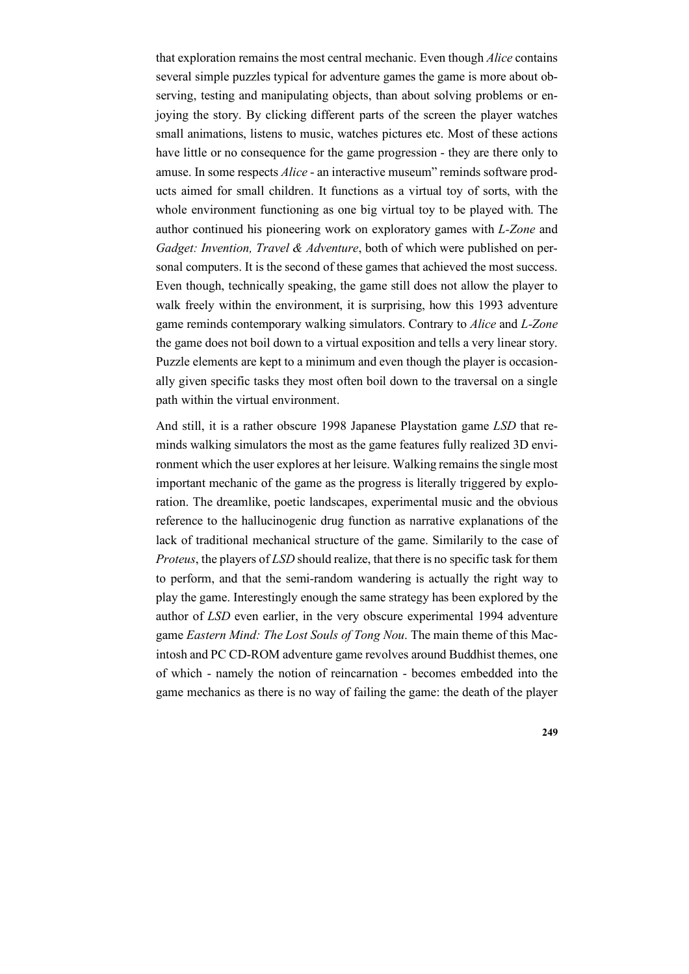that exploration remains the most central mechanic. Even though *Alice* contains several simple puzzles typical for adventure games the game is more about observing, testing and manipulating objects, than about solving problems or enjoying the story. By clicking different parts of the screen the player watches small animations, listens to music, watches pictures etc. Most of these actions have little or no consequence for the game progression - they are there only to amuse. In some respects *Alice* - an interactive museum" reminds software products aimed for small children. It functions as a virtual toy of sorts, with the whole environment functioning as one big virtual toy to be played with. The author continued his pioneering work on exploratory games with *L-Zone* and *Gadget: Invention, Travel & Adventure*, both of which were published on personal computers. It is the second of these games that achieved the most success. Even though, technically speaking, the game still does not allow the player to walk freely within the environment, it is surprising, how this 1993 adventure game reminds contemporary walking simulators. Contrary to *Alice* and *L-Zone* the game does not boil down to a virtual exposition and tells a very linear story. Puzzle elements are kept to a minimum and even though the player is occasionally given specific tasks they most often boil down to the traversal on a single path within the virtual environment.

And still, it is a rather obscure 1998 Japanese Playstation game *LSD* that reminds walking simulators the most as the game features fully realized 3D environment which the user explores at her leisure. Walking remains the single most important mechanic of the game as the progress is literally triggered by exploration. The dreamlike, poetic landscapes, experimental music and the obvious reference to the hallucinogenic drug function as narrative explanations of the lack of traditional mechanical structure of the game. Similarily to the case of *Proteus*, the players of *LSD* should realize, that there is no specific task for them to perform, and that the semi-random wandering is actually the right way to play the game. Interestingly enough the same strategy has been explored by the author of *LSD* even earlier, in the very obscure experimental 1994 adventure game *Eastern Mind: The Lost Souls of Tong Nou*. The main theme of this Macintosh and PC CD-ROM adventure game revolves around Buddhist themes, one of which - namely the notion of reincarnation - becomes embedded into the game mechanics as there is no way of failing the game: the death of the player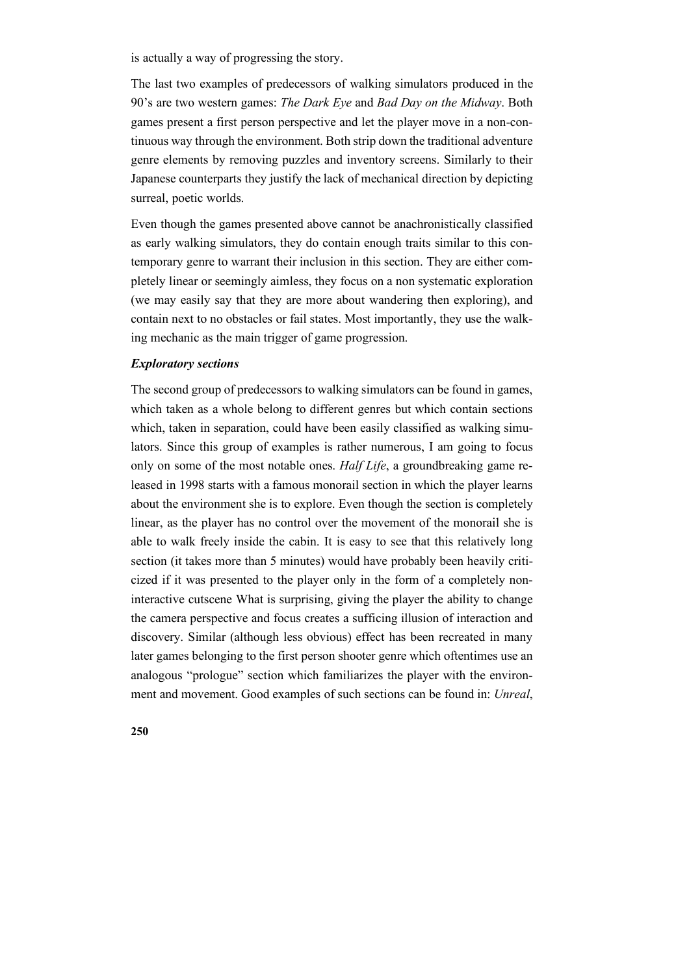is actually a way of progressing the story.

The last two examples of predecessors of walking simulators produced in the 90's are two western games: *The Dark Eye* and *Bad Day on the Midway*. Both games present a first person perspective and let the player move in a non-continuous way through the environment. Both strip down the traditional adventure genre elements by removing puzzles and inventory screens. Similarly to their Japanese counterparts they justify the lack of mechanical direction by depicting surreal, poetic worlds.

Even though the games presented above cannot be anachronistically classified as early walking simulators, they do contain enough traits similar to this contemporary genre to warrant their inclusion in this section. They are either completely linear or seemingly aimless, they focus on a non systematic exploration (we may easily say that they are more about wandering then exploring), and contain next to no obstacles or fail states. Most importantly, they use the walking mechanic as the main trigger of game progression.

## *Exploratory sections*

The second group of predecessors to walking simulators can be found in games, which taken as a whole belong to different genres but which contain sections which, taken in separation, could have been easily classified as walking simulators. Since this group of examples is rather numerous, I am going to focus only on some of the most notable ones. *Half Life*, a groundbreaking game released in 1998 starts with a famous monorail section in which the player learns about the environment she is to explore. Even though the section is completely linear, as the player has no control over the movement of the monorail she is able to walk freely inside the cabin. It is easy to see that this relatively long section (it takes more than 5 minutes) would have probably been heavily criticized if it was presented to the player only in the form of a completely noninteractive cutscene What is surprising, giving the player the ability to change the camera perspective and focus creates a sufficing illusion of interaction and discovery. Similar (although less obvious) effect has been recreated in many later games belonging to the first person shooter genre which oftentimes use an analogous "prologue" section which familiarizes the player with the environment and movement. Good examples of such sections can be found in: *Unreal*,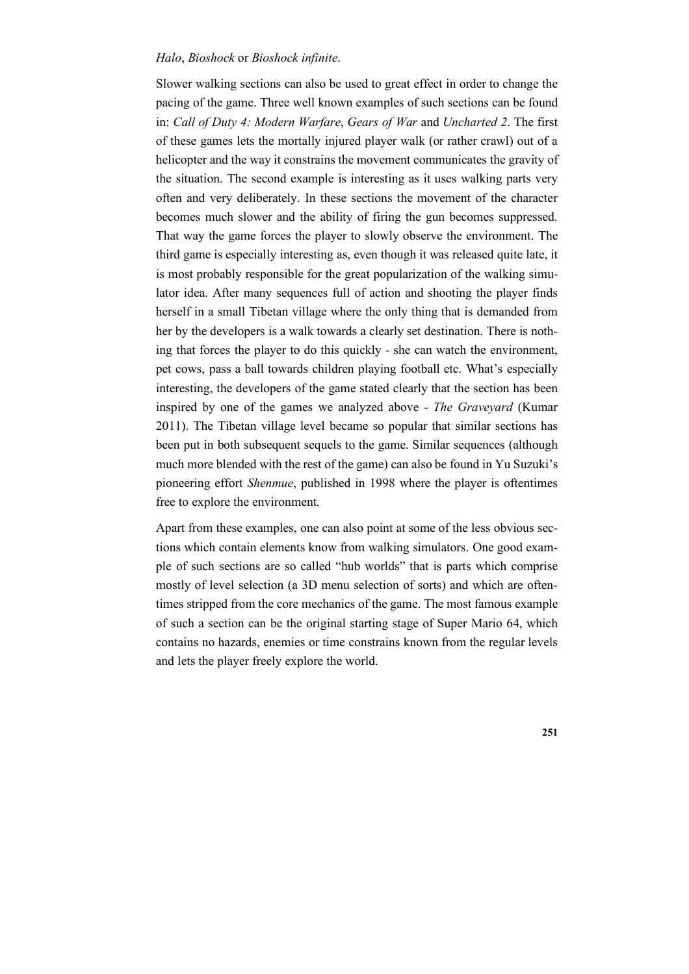## *Halo*, *Bioshock* or *Bioshock infinite*.

Slower walking sections can also be used to great effect in order to change the pacing of the game. Three well known examples of such sections can be found in: *Call of Duty 4: Modern Warfare*, *Gears of War* and *Uncharted 2*. The first of these games lets the mortally injured player walk (or rather crawl) out of a helicopter and the way it constrains the movement communicates the gravity of the situation. The second example is interesting as it uses walking parts very often and very deliberately. In these sections the movement of the character becomes much slower and the ability of firing the gun becomes suppressed. That way the game forces the player to slowly observe the environment. The third game is especially interesting as, even though it was released quite late, it is most probably responsible for the great popularization of the walking simulator idea. After many sequences full of action and shooting the player finds herself in a small Tibetan village where the only thing that is demanded from her by the developers is a walk towards a clearly set destination. There is nothing that forces the player to do this quickly - she can watch the environment, pet cows, pass a ball towards children playing football etc. What's especially interesting, the developers of the game stated clearly that the section has been inspired by one of the games we analyzed above - *The Graveyard* (Kumar 2011). The Tibetan village level became so popular that similar sections has been put in both subsequent sequels to the game. Similar sequences (although much more blended with the rest of the game) can also be found in Yu Suzuki's pioneering effort *Shenmue*, published in 1998 where the player is oftentimes free to explore the environment.

Apart from these examples, one can also point at some of the less obvious sections which contain elements know from walking simulators. One good example of such sections are so called "hub worlds" that is parts which comprise mostly of level selection (a 3D menu selection of sorts) and which are oftentimes stripped from the core mechanics of the game. The most famous example of such a section can be the original starting stage of Super Mario 64, which contains no hazards, enemies or time constrains known from the regular levels and lets the player freely explore the world.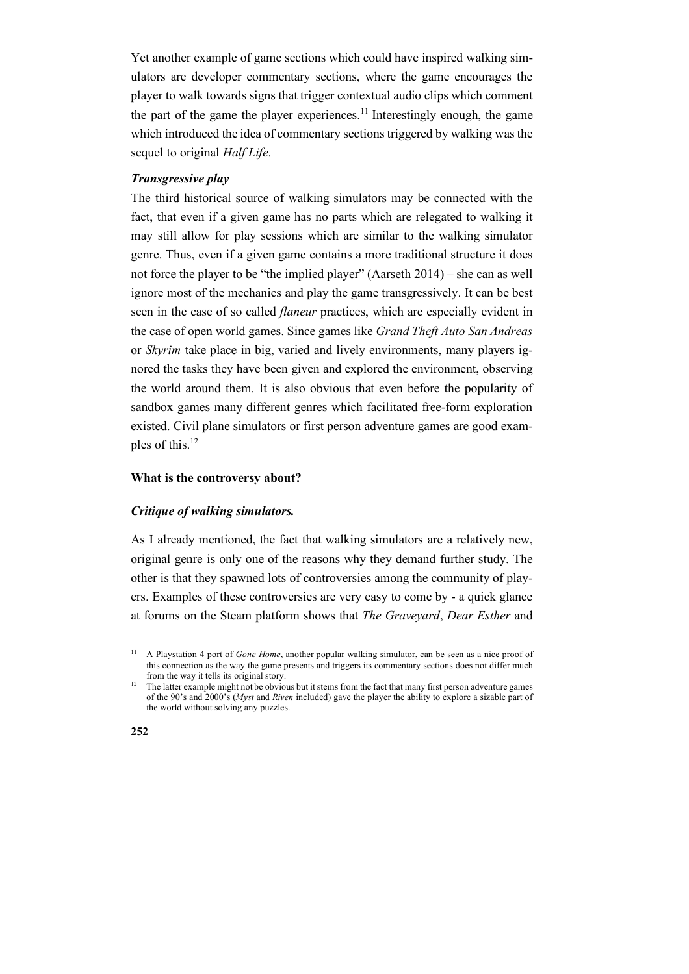Yet another example of game sections which could have inspired walking simulators are developer commentary sections, where the game encourages the player to walk towards signs that trigger contextual audio clips which comment the part of the game the player experiences.<sup>11</sup> Interestingly enough, the game which introduced the idea of commentary sections triggered by walking was the sequel to original *Half Life*.

# *Transgressive play*

The third historical source of walking simulators may be connected with the fact, that even if a given game has no parts which are relegated to walking it may still allow for play sessions which are similar to the walking simulator genre. Thus, even if a given game contains a more traditional structure it does not force the player to be "the implied player" (Aarseth 2014) – she can as well ignore most of the mechanics and play the game transgressively. It can be best seen in the case of so called *flaneur* practices, which are especially evident in the case of open world games. Since games like *Grand Theft Auto San Andreas* or *Skyrim* take place in big, varied and lively environments, many players ignored the tasks they have been given and explored the environment, observing the world around them. It is also obvious that even before the popularity of sandbox games many different genres which facilitated free-form exploration existed. Civil plane simulators or first person adventure games are good examples of this.<sup>12</sup>

# **What is the controversy about?**

#### *Critique of walking simulators.*

As I already mentioned, the fact that walking simulators are a relatively new, original genre is only one of the reasons why they demand further study. The other is that they spawned lots of controversies among the community of players. Examples of these controversies are very easy to come by - a quick glance at forums on the Steam platform shows that *The Graveyard*, *Dear Esther* and

<sup>&</sup>lt;sup>12</sup> The latter example might not be obvious but it stems from the fact that many first person adventure games of the 90's and 2000's (*Myst* and *Riven* included) gave the player the ability to explore a sizable part of the world without solving any puzzles.



<sup>&</sup>lt;sup>11</sup> A Playstation 4 port of *Gone Home*, another popular walking simulator, can be seen as a nice proof of this connection as the way the game presents and triggers its commentary sections does not differ much from the way it tells its original story.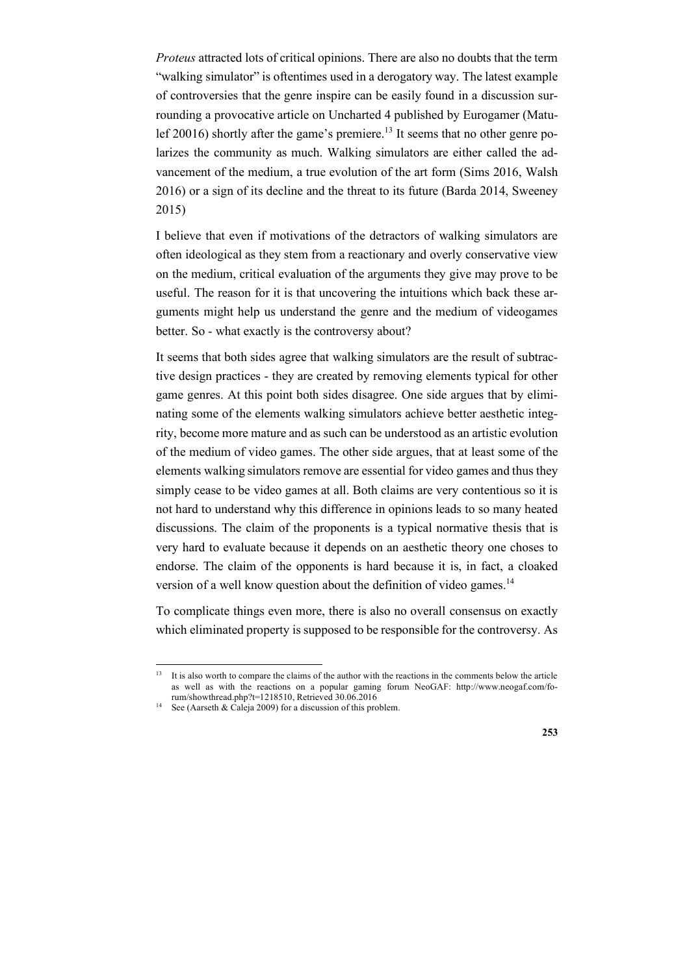*Proteus* attracted lots of critical opinions. There are also no doubts that the term "walking simulator" is oftentimes used in a derogatory way. The latest example of controversies that the genre inspire can be easily found in a discussion surrounding a provocative article on Uncharted 4 published by Eurogamer (Matulef 20016) shortly after the game's premiere.<sup>13</sup> It seems that no other genre polarizes the community as much. Walking simulators are either called the advancement of the medium, a true evolution of the art form (Sims 2016, Walsh 2016) or a sign of its decline and the threat to its future (Barda 2014, Sweeney 2015)

I believe that even if motivations of the detractors of walking simulators are often ideological as they stem from a reactionary and overly conservative view on the medium, critical evaluation of the arguments they give may prove to be useful. The reason for it is that uncovering the intuitions which back these arguments might help us understand the genre and the medium of videogames better. So - what exactly is the controversy about?

It seems that both sides agree that walking simulators are the result of subtractive design practices - they are created by removing elements typical for other game genres. At this point both sides disagree. One side argues that by eliminating some of the elements walking simulators achieve better aesthetic integrity, become more mature and as such can be understood as an artistic evolution of the medium of video games. The other side argues, that at least some of the elements walking simulators remove are essential for video games and thus they simply cease to be video games at all. Both claims are very contentious so it is not hard to understand why this difference in opinions leads to so many heated discussions. The claim of the proponents is a typical normative thesis that is very hard to evaluate because it depends on an aesthetic theory one choses to endorse. The claim of the opponents is hard because it is, in fact, a cloaked version of a well know question about the definition of video games. $14$ 

To complicate things even more, there is also no overall consensus on exactly which eliminated property is supposed to be responsible for the controversy. As

<sup>&</sup>lt;sup>13</sup> It is also worth to compare the claims of the author with the reactions in the comments below the article as well as with the reactions on a popular gaming forum NeoGAF: http://www.neogaf.com/forum/showthread.php?t=1218510, Retrieved 30.06.2016

<sup>&</sup>lt;sup>14</sup> See (Aarseth & Caleja 2009) for a discussion of this problem.

**<sup>253</sup>**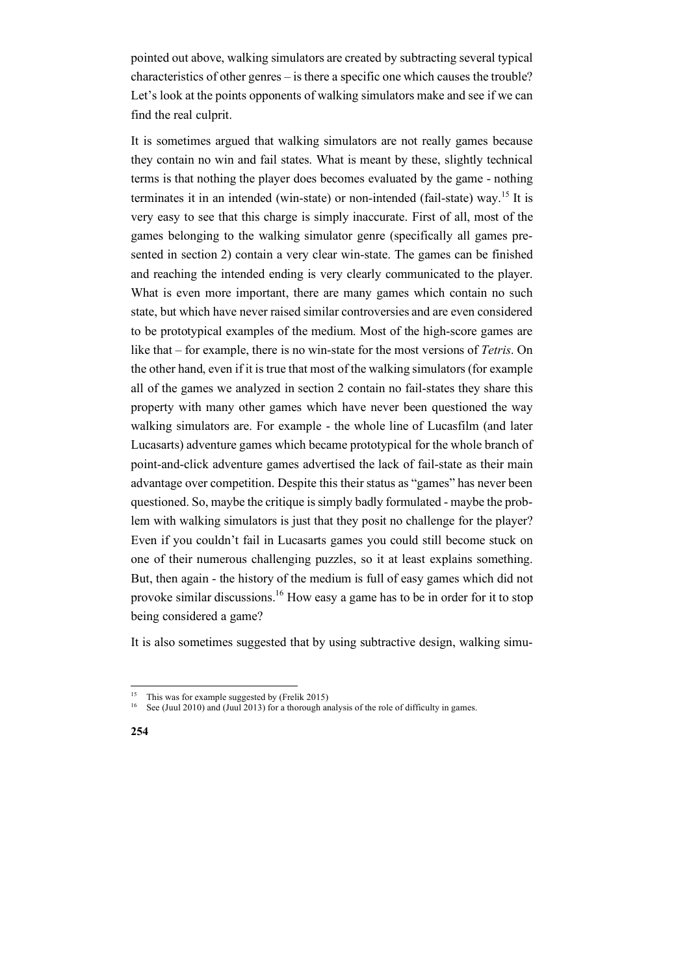pointed out above, walking simulators are created by subtracting several typical characteristics of other genres – is there a specific one which causes the trouble? Let's look at the points opponents of walking simulators make and see if we can find the real culprit.

It is sometimes argued that walking simulators are not really games because they contain no win and fail states. What is meant by these, slightly technical terms is that nothing the player does becomes evaluated by the game - nothing terminates it in an intended (win-state) or non-intended (fail-state) way.<sup>15</sup> It is very easy to see that this charge is simply inaccurate. First of all, most of the games belonging to the walking simulator genre (specifically all games presented in section 2) contain a very clear win-state. The games can be finished and reaching the intended ending is very clearly communicated to the player. What is even more important, there are many games which contain no such state, but which have never raised similar controversies and are even considered to be prototypical examples of the medium. Most of the high-score games are like that – for example, there is no win-state for the most versions of *Tetris*. On the other hand, even if it is true that most of the walking simulators (for example all of the games we analyzed in section 2 contain no fail-states they share this property with many other games which have never been questioned the way walking simulators are. For example - the whole line of Lucasfilm (and later Lucasarts) adventure games which became prototypical for the whole branch of point-and-click adventure games advertised the lack of fail-state as their main advantage over competition. Despite this their status as "games" has never been questioned. So, maybe the critique is simply badly formulated - maybe the problem with walking simulators is just that they posit no challenge for the player? Even if you couldn't fail in Lucasarts games you could still become stuck on one of their numerous challenging puzzles, so it at least explains something. But, then again - the history of the medium is full of easy games which did not provoke similar discussions.<sup>16</sup> How easy a game has to be in order for it to stop being considered a game?

It is also sometimes suggested that by using subtractive design, walking simu-

<sup>&</sup>lt;sup>15</sup> This was for example suggested by (Frelik 2015)<sup>16</sup> See (Juni 2010) and (Juni 2013) for a thereugh an

See (Juul 2010) and (Juul 2013) for a thorough analysis of the role of difficulty in games.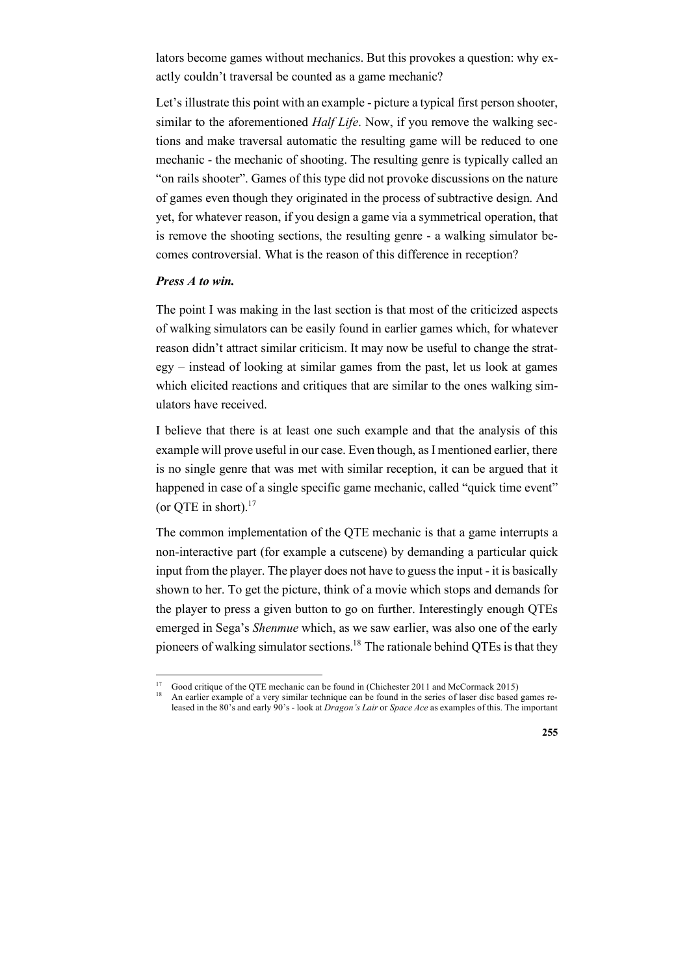lators become games without mechanics. But this provokes a question: why exactly couldn't traversal be counted as a game mechanic?

Let's illustrate this point with an example - picture a typical first person shooter, similar to the aforementioned *Half Life*. Now, if you remove the walking sections and make traversal automatic the resulting game will be reduced to one mechanic - the mechanic of shooting. The resulting genre is typically called an "on rails shooter". Games of this type did not provoke discussions on the nature of games even though they originated in the process of subtractive design. And yet, for whatever reason, if you design a game via a symmetrical operation, that is remove the shooting sections, the resulting genre - a walking simulator becomes controversial. What is the reason of this difference in reception?

#### *Press A to win.*

The point I was making in the last section is that most of the criticized aspects of walking simulators can be easily found in earlier games which, for whatever reason didn't attract similar criticism. It may now be useful to change the strategy – instead of looking at similar games from the past, let us look at games which elicited reactions and critiques that are similar to the ones walking simulators have received.

I believe that there is at least one such example and that the analysis of this example will prove useful in our case. Even though, as I mentioned earlier, there is no single genre that was met with similar reception, it can be argued that it happened in case of a single specific game mechanic, called "quick time event" (or OTE in short). $17$ 

The common implementation of the QTE mechanic is that a game interrupts a non-interactive part (for example a cutscene) by demanding a particular quick input from the player. The player does not have to guess the input - it is basically shown to her. To get the picture, think of a movie which stops and demands for the player to press a given button to go on further. Interestingly enough QTEs emerged in Sega's *Shenmue* which, as we saw earlier, was also one of the early pioneers of walking simulator sections.<sup>18</sup> The rationale behind QTEs is that they

<sup>17</sup> Good critique of the QTE mechanic can be found in (Chichester 2011 and McCormack 2015) 18 An earlier example of a very similar technique can be found in the series of laser disc based games re-

leased in the 80's and early 90's - look at *Dragon's Lair* or *Space Ace* as examples of this. The important

**<sup>255</sup>**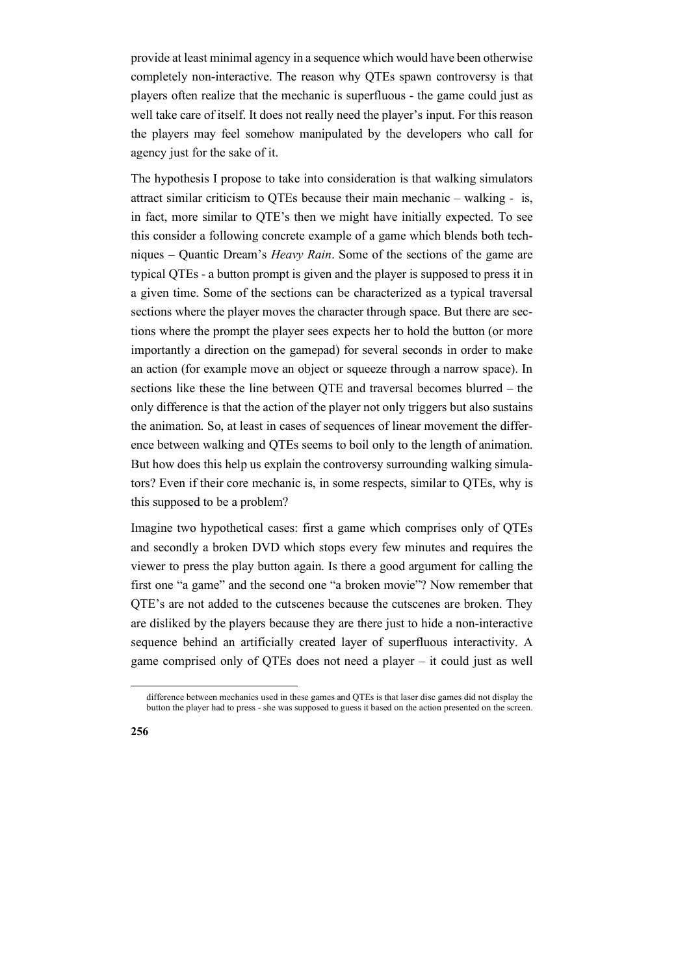provide at least minimal agency in a sequence which would have been otherwise completely non-interactive. The reason why QTEs spawn controversy is that players often realize that the mechanic is superfluous - the game could just as well take care of itself. It does not really need the player's input. For this reason the players may feel somehow manipulated by the developers who call for agency just for the sake of it.

The hypothesis I propose to take into consideration is that walking simulators attract similar criticism to QTEs because their main mechanic – walking - is, in fact, more similar to QTE's then we might have initially expected. To see this consider a following concrete example of a game which blends both techniques – Quantic Dream's *Heavy Rain*. Some of the sections of the game are typical QTEs - a button prompt is given and the player is supposed to press it in a given time. Some of the sections can be characterized as a typical traversal sections where the player moves the character through space. But there are sections where the prompt the player sees expects her to hold the button (or more importantly a direction on the gamepad) for several seconds in order to make an action (for example move an object or squeeze through a narrow space). In sections like these the line between QTE and traversal becomes blurred – the only difference is that the action of the player not only triggers but also sustains the animation. So, at least in cases of sequences of linear movement the difference between walking and QTEs seems to boil only to the length of animation. But how does this help us explain the controversy surrounding walking simulators? Even if their core mechanic is, in some respects, similar to QTEs, why is this supposed to be a problem?

Imagine two hypothetical cases: first a game which comprises only of QTEs and secondly a broken DVD which stops every few minutes and requires the viewer to press the play button again. Is there a good argument for calling the first one "a game" and the second one "a broken movie"? Now remember that QTE's are not added to the cutscenes because the cutscenes are broken. They are disliked by the players because they are there just to hide a non-interactive sequence behind an artificially created layer of superfluous interactivity. A game comprised only of QTEs does not need a player – it could just as well

difference between mechanics used in these games and QTEs is that laser disc games did not display the button the player had to press - she was supposed to guess it based on the action presented on the screen.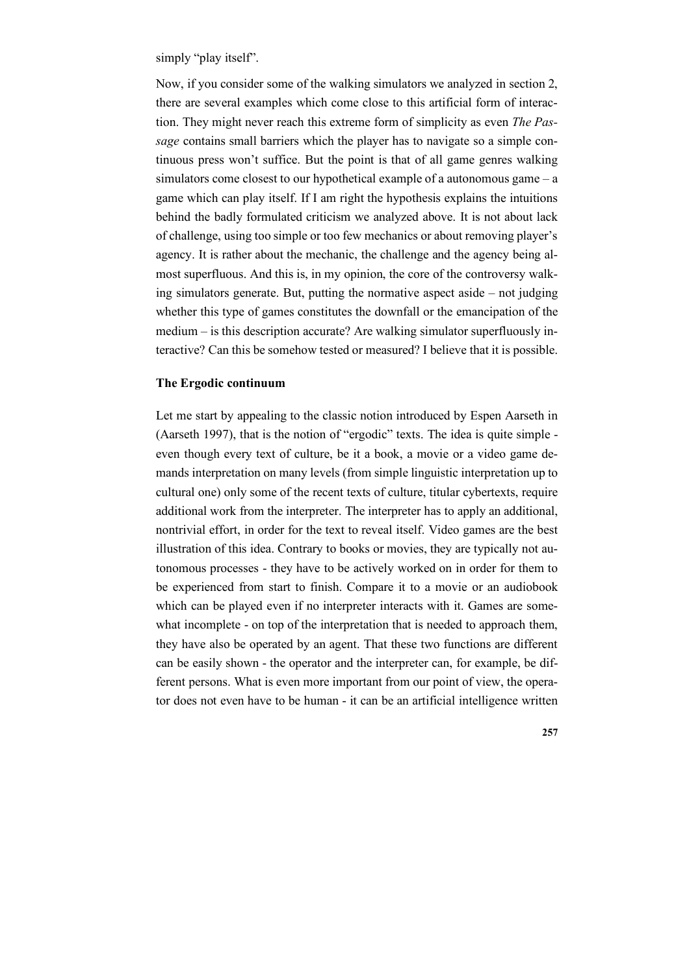simply "play itself".

Now, if you consider some of the walking simulators we analyzed in section 2, there are several examples which come close to this artificial form of interaction. They might never reach this extreme form of simplicity as even *The Passage* contains small barriers which the player has to navigate so a simple continuous press won't suffice. But the point is that of all game genres walking simulators come closest to our hypothetical example of a autonomous game – a game which can play itself. If I am right the hypothesis explains the intuitions behind the badly formulated criticism we analyzed above. It is not about lack of challenge, using too simple or too few mechanics or about removing player's agency. It is rather about the mechanic, the challenge and the agency being almost superfluous. And this is, in my opinion, the core of the controversy walking simulators generate. But, putting the normative aspect aside – not judging whether this type of games constitutes the downfall or the emancipation of the medium – is this description accurate? Are walking simulator superfluously interactive? Can this be somehow tested or measured? I believe that it is possible.

### **The Ergodic continuum**

Let me start by appealing to the classic notion introduced by Espen Aarseth in (Aarseth 1997), that is the notion of "ergodic" texts. The idea is quite simple even though every text of culture, be it a book, a movie or a video game demands interpretation on many levels (from simple linguistic interpretation up to cultural one) only some of the recent texts of culture, titular cybertexts, require additional work from the interpreter. The interpreter has to apply an additional, nontrivial effort, in order for the text to reveal itself. Video games are the best illustration of this idea. Contrary to books or movies, they are typically not autonomous processes - they have to be actively worked on in order for them to be experienced from start to finish. Compare it to a movie or an audiobook which can be played even if no interpreter interacts with it. Games are somewhat incomplete - on top of the interpretation that is needed to approach them, they have also be operated by an agent. That these two functions are different can be easily shown - the operator and the interpreter can, for example, be different persons. What is even more important from our point of view, the operator does not even have to be human - it can be an artificial intelligence written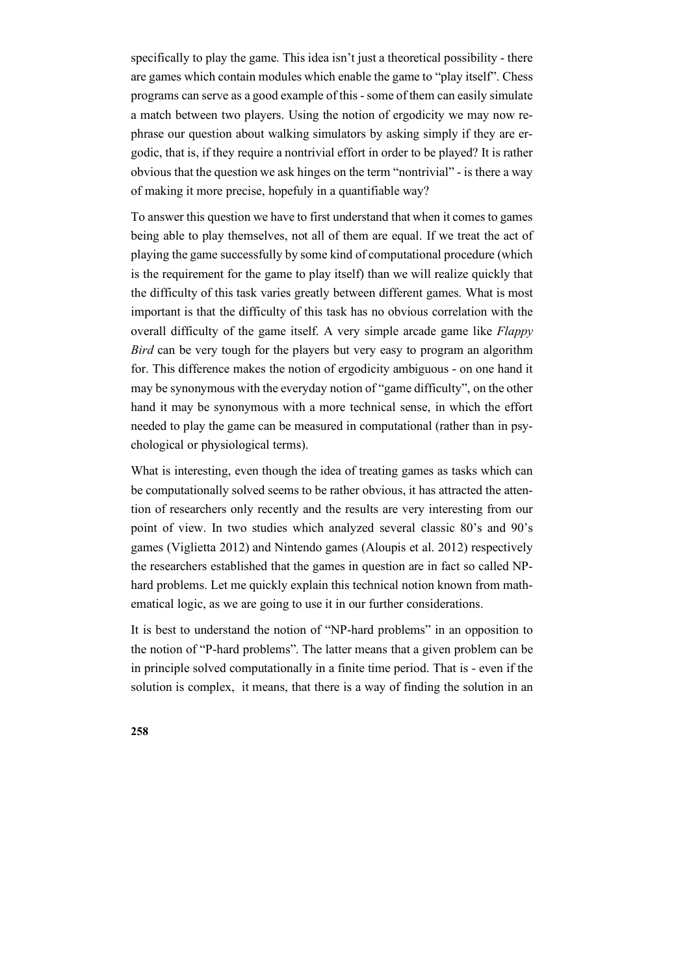specifically to play the game. This idea isn't just a theoretical possibility - there are games which contain modules which enable the game to "play itself". Chess programs can serve as a good example of this -some of them can easily simulate a match between two players. Using the notion of ergodicity we may now rephrase our question about walking simulators by asking simply if they are ergodic, that is, if they require a nontrivial effort in order to be played? It is rather obvious that the question we ask hinges on the term "nontrivial" - is there a way of making it more precise, hopefuly in a quantifiable way?

To answer this question we have to first understand that when it comes to games being able to play themselves, not all of them are equal. If we treat the act of playing the game successfully by some kind of computational procedure (which is the requirement for the game to play itself) than we will realize quickly that the difficulty of this task varies greatly between different games. What is most important is that the difficulty of this task has no obvious correlation with the overall difficulty of the game itself. A very simple arcade game like *Flappy Bird* can be very tough for the players but very easy to program an algorithm for. This difference makes the notion of ergodicity ambiguous - on one hand it may be synonymous with the everyday notion of "game difficulty", on the other hand it may be synonymous with a more technical sense, in which the effort needed to play the game can be measured in computational (rather than in psychological or physiological terms).

What is interesting, even though the idea of treating games as tasks which can be computationally solved seems to be rather obvious, it has attracted the attention of researchers only recently and the results are very interesting from our point of view. In two studies which analyzed several classic 80's and 90's games (Viglietta 2012) and Nintendo games (Aloupis et al. 2012) respectively the researchers established that the games in question are in fact so called NPhard problems. Let me quickly explain this technical notion known from mathematical logic, as we are going to use it in our further considerations.

It is best to understand the notion of "NP-hard problems" in an opposition to the notion of "P-hard problems". The latter means that a given problem can be in principle solved computationally in a finite time period. That is - even if the solution is complex, it means, that there is a way of finding the solution in an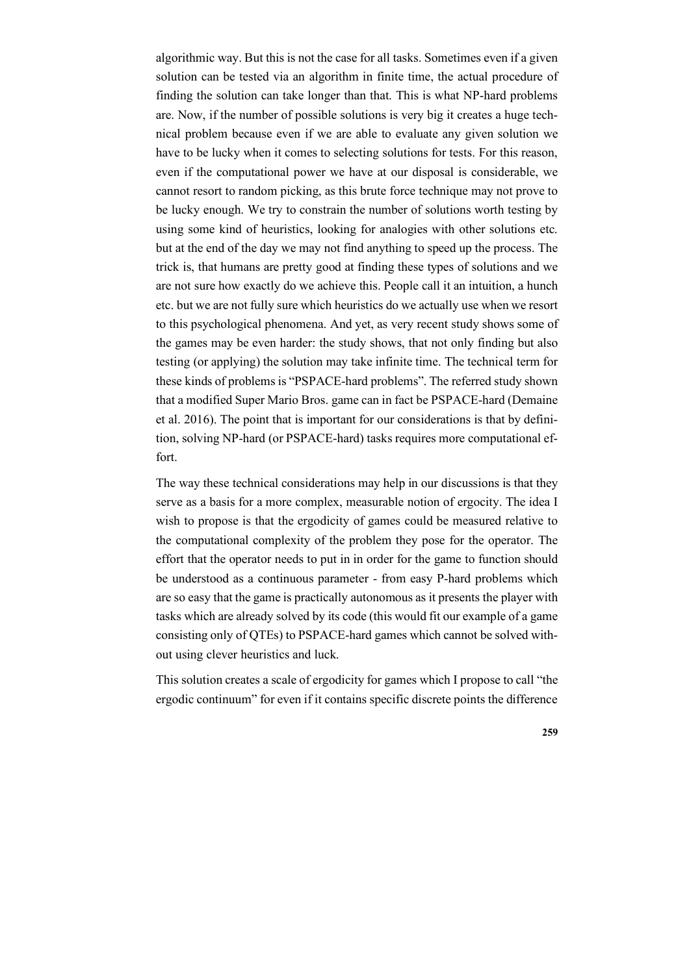algorithmic way. But this is not the case for all tasks. Sometimes even if a given solution can be tested via an algorithm in finite time, the actual procedure of finding the solution can take longer than that. This is what NP-hard problems are. Now, if the number of possible solutions is very big it creates a huge technical problem because even if we are able to evaluate any given solution we have to be lucky when it comes to selecting solutions for tests. For this reason, even if the computational power we have at our disposal is considerable, we cannot resort to random picking, as this brute force technique may not prove to be lucky enough. We try to constrain the number of solutions worth testing by using some kind of heuristics, looking for analogies with other solutions etc. but at the end of the day we may not find anything to speed up the process. The trick is, that humans are pretty good at finding these types of solutions and we are not sure how exactly do we achieve this. People call it an intuition, a hunch etc. but we are not fully sure which heuristics do we actually use when we resort to this psychological phenomena. And yet, as very recent study shows some of the games may be even harder: the study shows, that not only finding but also testing (or applying) the solution may take infinite time. The technical term for these kinds of problems is "PSPACE-hard problems". The referred study shown that a modified Super Mario Bros. game can in fact be PSPACE-hard (Demaine et al. 2016). The point that is important for our considerations is that by definition, solving NP-hard (or PSPACE-hard) tasks requires more computational effort.

The way these technical considerations may help in our discussions is that they serve as a basis for a more complex, measurable notion of ergocity. The idea I wish to propose is that the ergodicity of games could be measured relative to the computational complexity of the problem they pose for the operator. The effort that the operator needs to put in in order for the game to function should be understood as a continuous parameter - from easy P-hard problems which are so easy that the game is practically autonomous as it presents the player with tasks which are already solved by its code (this would fit our example of a game consisting only of QTEs) to PSPACE-hard games which cannot be solved without using clever heuristics and luck.

This solution creates a scale of ergodicity for games which I propose to call "the ergodic continuum" for even if it contains specific discrete points the difference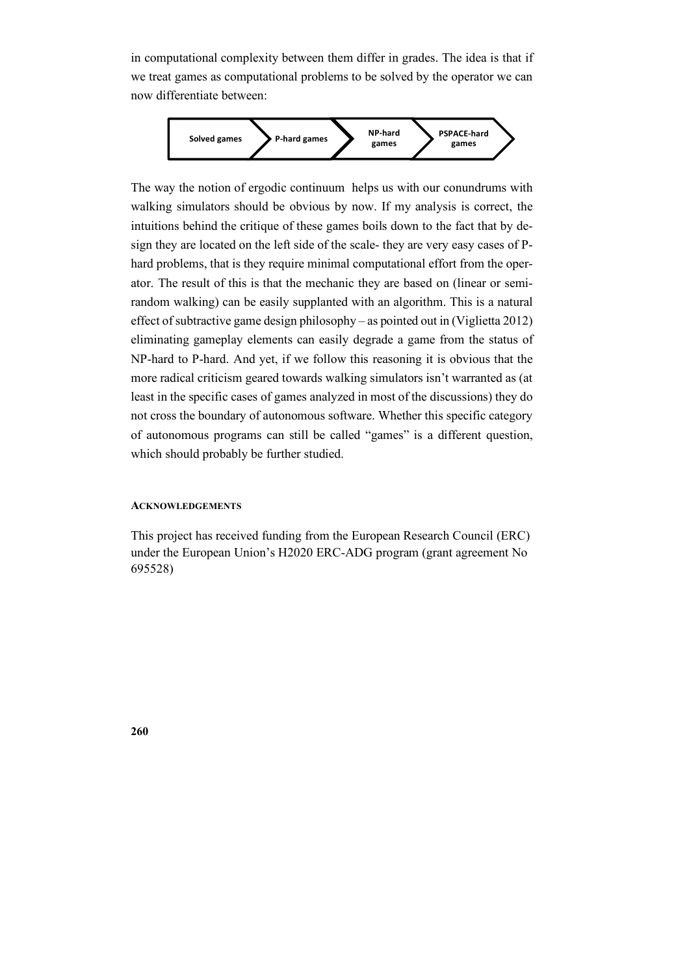in computational complexity between them differ in grades. The idea is that if we treat games as computational problems to be solved by the operator we can now differentiate between:



The way the notion of ergodic continuum helps us with our conundrums with walking simulators should be obvious by now. If my analysis is correct, the intuitions behind the critique of these games boils down to the fact that by design they are located on the left side of the scale- they are very easy cases of Phard problems, that is they require minimal computational effort from the operator. The result of this is that the mechanic they are based on (linear or semirandom walking) can be easily supplanted with an algorithm. This is a natural effect of subtractive game design philosophy – as pointed out in (Viglietta 2012) eliminating gameplay elements can easily degrade a game from the status of NP-hard to P-hard. And yet, if we follow this reasoning it is obvious that the more radical criticism geared towards walking simulators isn't warranted as (at least in the specific cases of games analyzed in most of the discussions) they do not cross the boundary of autonomous software. Whether this specific category of autonomous programs can still be called "games" is a different question, which should probably be further studied.

#### **ACKNOWLEDGEMENTS**

This project has received funding from the European Research Council (ERC) under the European Union's H2020 ERC-ADG program (grant agreement No 695528)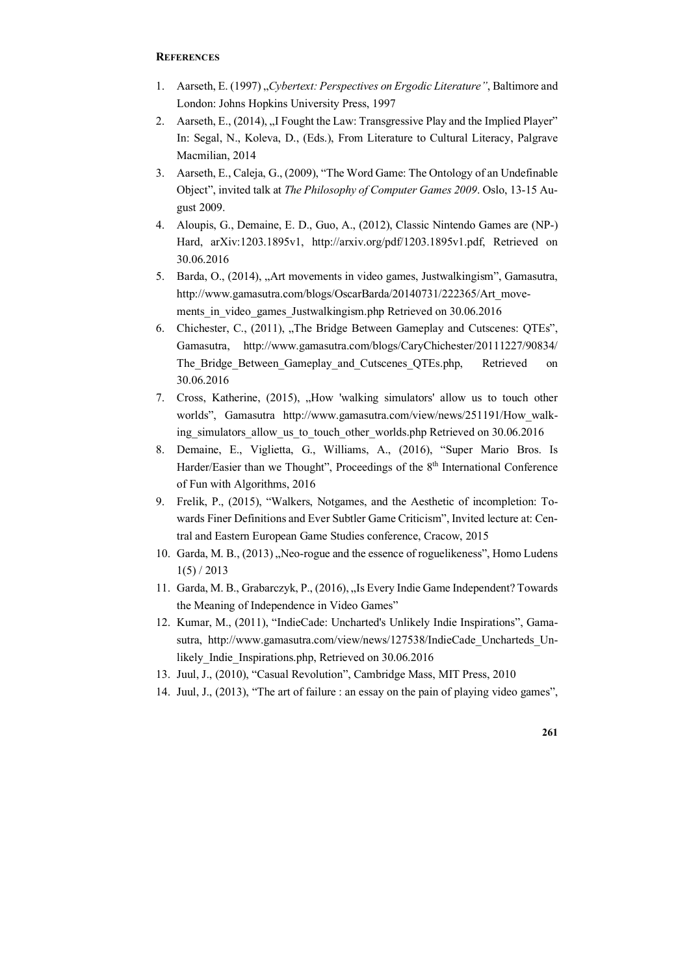#### **REFERENCES**

- 1. Aarseth, E. (1997) "*Cybertext: Perspectives on Ergodic Literature"*, Baltimore and London: Johns Hopkins University Press, 1997
- 2. Aarseth, E., (2014), "I Fought the Law: Transgressive Play and the Implied Player" In: Segal, N., Koleva, D., (Eds.), From Literature to Cultural Literacy, Palgrave Macmilian, 2014
- 3. Aarseth, E., Caleja, G., (2009), "The Word Game: The Ontology of an Undefinable Object", invited talk at *The Philosophy of Computer Games 2009*. Oslo, 13-15 August 2009.
- 4. Aloupis, G., Demaine, E. D., Guo, A., (2012), Classic Nintendo Games are (NP-) Hard, arXiv:1203.1895v1, http://arxiv.org/pdf/1203.1895v1.pdf, Retrieved on 30.06.2016
- 5. Barda, O., (2014), "Art movements in video games, Justwalkingism", Gamasutra, http://www.gamasutra.com/blogs/OscarBarda/20140731/222365/Art\_movements in video games Justwalkingism.php Retrieved on 30.06.2016
- 6. Chichester, C., (2011), "The Bridge Between Gameplay and Cutscenes: QTEs", Gamasutra, http://www.gamasutra.com/blogs/CaryChichester/20111227/90834/ The Bridge Between Gameplay and Cutscenes OTEs.php, Retrieved on 30.06.2016
- 7. Cross, Katherine, (2015), "How 'walking simulators' allow us to touch other worlds", Gamasutra http://www.gamasutra.com/view/news/251191/How\_walking\_simulators\_allow\_us\_to\_touch\_other\_worlds.php Retrieved on 30.06.2016
- 8. Demaine, E., Viglietta, G., Williams, A., (2016), "Super Mario Bros. Is Harder/Easier than we Thought", Proceedings of the 8<sup>th</sup> International Conference of Fun with Algorithms, 2016
- 9. Frelik, P., (2015), "Walkers, Notgames, and the Aesthetic of incompletion: Towards Finer Definitions and Ever Subtler Game Criticism", Invited lecture at: Central and Eastern European Game Studies conference, Cracow, 2015
- 10. Garda, M. B., (2013), Neo-rogue and the essence of roguelikeness", Homo Ludens  $1(5) / 2013$
- 11. Garda, M. B., Grabarczyk, P., (2016), "Is Every Indie Game Independent? Towards the Meaning of Independence in Video Games"
- 12. Kumar, M., (2011), "IndieCade: Uncharted's Unlikely Indie Inspirations", Gamasutra, http://www.gamasutra.com/view/news/127538/IndieCade Uncharteds Unlikely Indie Inspirations.php, Retrieved on 30.06.2016
- 13. Juul, J., (2010), "Casual Revolution", Cambridge Mass, MIT Press, 2010
- 14. Juul, J., (2013), "The art of failure : an essay on the pain of playing video games",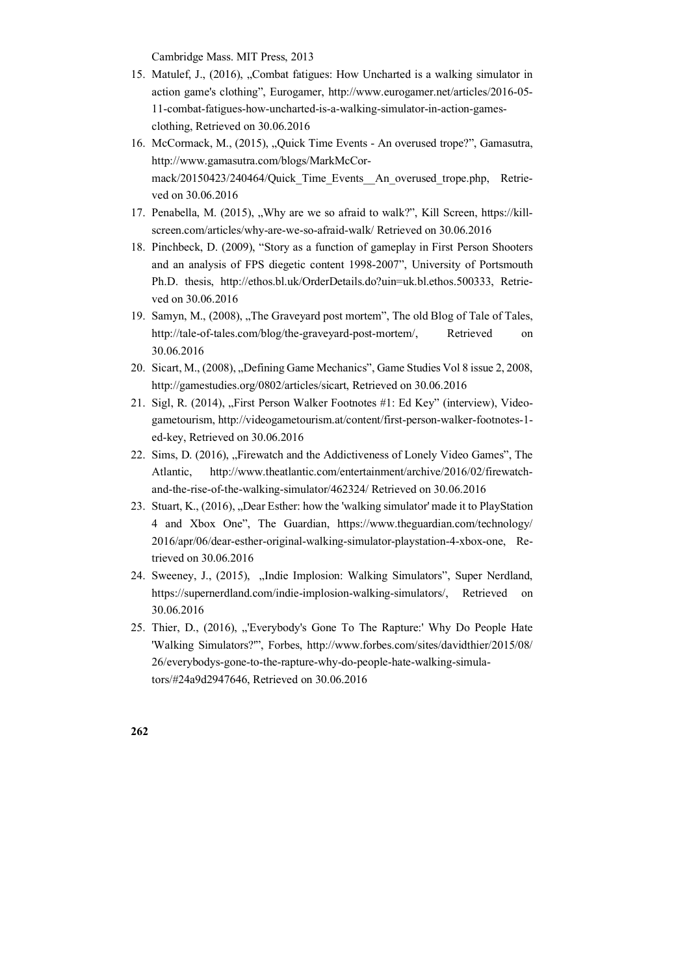Cambridge Mass. MIT Press, 2013

- 15. Matulef, J., (2016), "Combat fatigues: How Uncharted is a walking simulator in action game's clothing", Eurogamer, http://www.eurogamer.net/articles/2016-05- 11-combat-fatigues-how-uncharted-is-a-walking-simulator-in-action-gamesclothing, Retrieved on 30.06.2016
- 16. McCormack, M., (2015), "Quick Time Events An overused trope?", Gamasutra, http://www.gamasutra.com/blogs/MarkMcCormack/20150423/240464/Quick Time Events An overused trope.php, Retrieved on 30.06.2016
- 17. Penabella, M. (2015), "Why are we so afraid to walk?", Kill Screen, https://killscreen.com/articles/why-are-we-so-afraid-walk/ Retrieved on 30.06.2016
- 18. Pinchbeck, D. (2009), "Story as a function of gameplay in First Person Shooters and an analysis of FPS diegetic content 1998-2007", University of Portsmouth Ph.D. thesis, http://ethos.bl.uk/OrderDetails.do?uin=uk.bl.ethos.500333, Retrieved on 30.06.2016
- 19. Samyn, M., (2008), "The Graveyard post mortem", The old Blog of Tale of Tales, http://tale-of-tales.com/blog/the-graveyard-post-mortem/, Retrieved on 30.06.2016
- 20. Sicart, M., (2008), "Defining Game Mechanics", Game Studies Vol 8 issue 2, 2008, http://gamestudies.org/0802/articles/sicart, Retrieved on 30.06.2016
- 21. Sigl, R. (2014), "First Person Walker Footnotes #1: Ed Key" (interview), Videogametourism, http://videogametourism.at/content/first-person-walker-footnotes-1 ed-key, Retrieved on 30.06.2016
- 22. Sims, D. (2016), "Firewatch and the Addictiveness of Lonely Video Games", The Atlantic, http://www.theatlantic.com/entertainment/archive/2016/02/firewatchand-the-rise-of-the-walking-simulator/462324/ Retrieved on 30.06.2016
- 23. Stuart, K., (2016), "Dear Esther: how the 'walking simulator' made it to PlayStation 4 and Xbox One", The Guardian, https://www.theguardian.com/technology/ 2016/apr/06/dear-esther-original-walking-simulator-playstation-4-xbox-one, Retrieved on 30.06.2016
- 24. Sweeney, J., (2015), "Indie Implosion: Walking Simulators", Super Nerdland, https://supernerdland.com/indie-implosion-walking-simulators/, Retrieved on 30.06.2016
- 25. Thier, D., (2016), "'Everybody's Gone To The Rapture:' Why Do People Hate 'Walking Simulators?'", Forbes, http://www.forbes.com/sites/davidthier/2015/08/ 26/everybodys-gone-to-the-rapture-why-do-people-hate-walking-simulators/#24a9d2947646, Retrieved on 30.06.2016